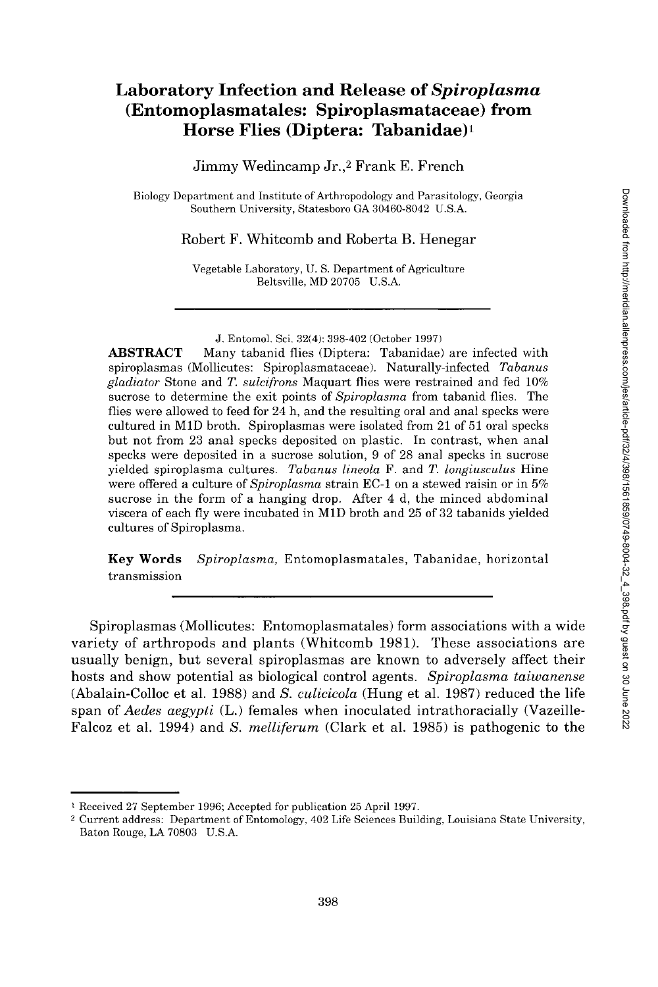# **Laboratory Infection and Release of** *Spiroplasma*  **(Entomoplasmatales: Spiroplasmataceae) from Horse Flies (Diptera: Tabanidae)<sup>1</sup>**

Jimmy Wedincamp Jr.,2 Frank E. French

Biology Department and Institute of Arthropodology and Parasitology, Georgia Southern University, Statesboro GA 30460-8042 U.S.A.

Robert F. Whitcomb and Roberta B. Henegar

Vegetable Laboratory, U. S. Department of Agriculture Beltsville, MD 20705 U.S.A.

J. Entomol. Sci. 32(4): 398-402 (October 1997)

**ABSTRACT** Many tabanid flies (Diptera: Tabanidae) are infected with spiroplasmas (Mollicutes: Spiroplasmataceae). Naturally-infected *Tabanus gladiator* Stone and *T. sulcifrons* Maquart flies were restrained and fed 10% sucrose to determine the exit points of *Spiroplasma* from tabanid flies. The flies were allowed to feed for 24 h, and the resulting oral and anal specks were cultured in MID broth. Spiroplasmas were isolated from 21 of 51 oral specks but not from 23 anal specks deposited on plastic. In contrast, when anal specks were deposited in a sucrose solution, 9 of 28 anal specks in sucrose yielded spiroplasma cultures. *Tabanus lineola* F. and *T. longiusculus* Hine were offered a culture of *Spiroplasma* strain EC-1 on a stewed raisin or in 5% sucrose in the form of a hanging drop. After 4 d, the minced abdominal viscera of each fly were incubated in MID broth and 25 of 32 tabanids yielded cultures of Spiroplasma.

**Key Words** *Spiroplasma*, Entomoplasmatales, Tabanidae, horizontal transmission

Spiroplasmas (Mollicutes: Entomoplasmatales) form associations with a wide variety of arthropods and plants (Whitcomb 1981). These associations are usually benign, but several spiroplasmas are known to adversely affect their hosts and show potential as biological control agents. *Spiroplasma taiwanense*  (Abalain-Colloc et al. 1988) and *S. culicicola* (Hung et al. 1987) reduced the life span of *Aedes aegypti* (L.) females when inoculated intrathoracially (Vazeille-Falcoz et al. 1994) and *S. melliferum* (Clark et al. 1985) is pathogenic to the

<sup>1</sup> Received 27 September 1996; Accepted for publication 25 April 1997.

<sup>2</sup> Current address: Department of Entomology, 402 Life Sciences Building, Louisiana State University, Baton Rouge, LA 70803 U.S.A.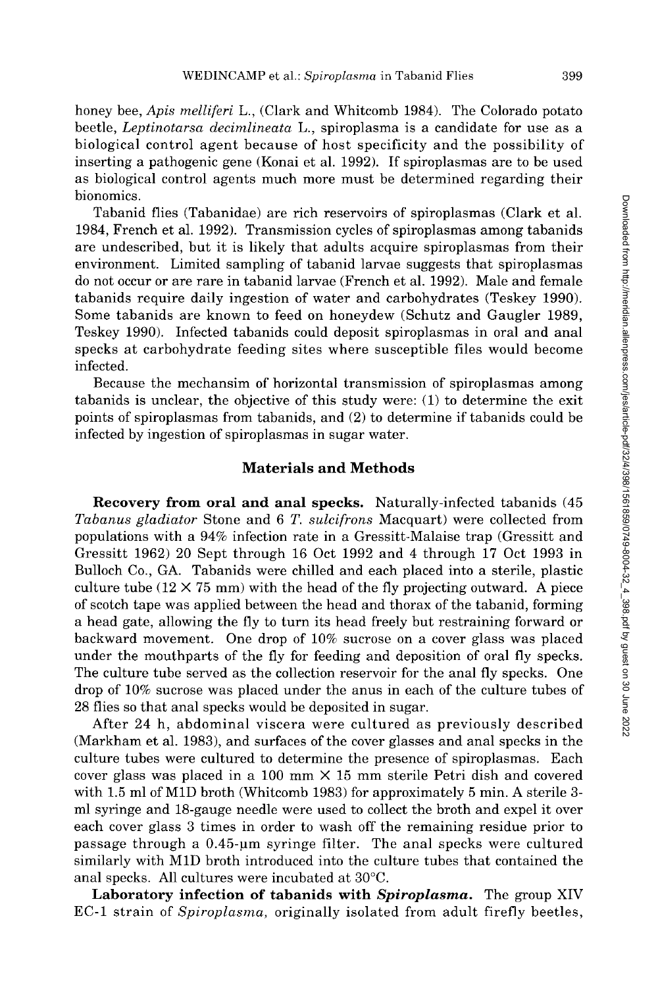honey bee, *Apis melliferi* L., (Clark and Whitcomb 1984). The Colorado potato beetle, *Leptinotarsa decimlineata* L., spiroplasma is a candidate for use as a biological control agent because of host specificity and the possibility of inserting a pathogenic gene (Konai et al. 1992). If spiroplasmas are to be used as biological control agents much more must be determined regarding their bionomics.

Tabanid flies (Tabanidae) are rich reservoirs of spiroplasmas (Clark et al. 1984, French et al. 1992). Transmission cycles of spiroplasmas among tabanids are undescribed, but it is likely that adults acquire spiroplasmas from their environment. Limited sampling of tabanid larvae suggests that spiroplasmas do not occur or are rare in tabanid larvae (French et al. 1992). Male and female tabanids require daily ingestion of water and carbohydrates (Teskey 1990). Some tabanids are known to feed on honeydew (Schutz and Gaugler 1989, Teskey 1990). Infected tabanids could deposit spiroplasmas in oral and anal specks at carbohydrate feeding sites where susceptible files would become infected.

Because the mechansim of horizontal transmission of spiroplasmas among tabanids is unclear, the objective of this study were: (1) to determine the exit points of spiroplasmas from tabanids, and (2) to determine if tabanids could be infected by ingestion of spiroplasmas in sugar water.

## **Materials and Methods**

**Recovery from oral and anal specks.** Naturally-infected tabanids (45 *Tabanus gladiator* Stone and 6 *T. sulcifrons* Macquart) were collected from populations with a 94% infection rate in a Gressitt-Malaise trap (Gressitt and Gressitt 1962) 20 Sept through 16 Oct 1992 and 4 through 17 Oct 1993 in Bulloch Co., GA. Tabanids were chilled and each placed into a sterile, plastic culture tube  $(12 \times 75 \text{ mm})$  with the head of the fly projecting outward. A piece of scotch tape was applied between the head and thorax of the tabanid, forming a head gate, allowing the fly to turn its head freely but restraining forward or backward movement. One drop of 10% sucrose on a cover glass was placed under the mouthparts of the fly for feeding and deposition of oral fly specks. The culture tube served as the collection reservoir for the anal fly specks. One drop of 10% sucrose was placed under the anus in each of the culture tubes of 28 flies so that anal specks would be deposited in sugar.

After 24 h, abdominal viscera were cultured as previously described (Markham et al. 1983), and surfaces of the cover glasses and anal specks in the culture tubes were cultured to determine the presence of spiroplasmas. Each cover glass was placed in a 100 mm  $\times$  15 mm sterile Petri dish and covered with 1.5 ml of M1D broth (Whitcomb 1983) for approximately 5 min. A sterile 3ml syringe and 18-gauge needle were used to collect the broth and expel it over each cover glass 3 times in order to wash off the remaining residue prior to passage through a 0.45-pm syringe filter. The anal specks were cultured similarly with MID broth introduced into the culture tubes that contained the anal specks. All cultures were incubated at 30°C.

**Laboratory infection of tabanids with** *Spiroplasma*. The group XIV EC-1 strain of *Spiroplasma,* originally isolated from adult firefly beetles,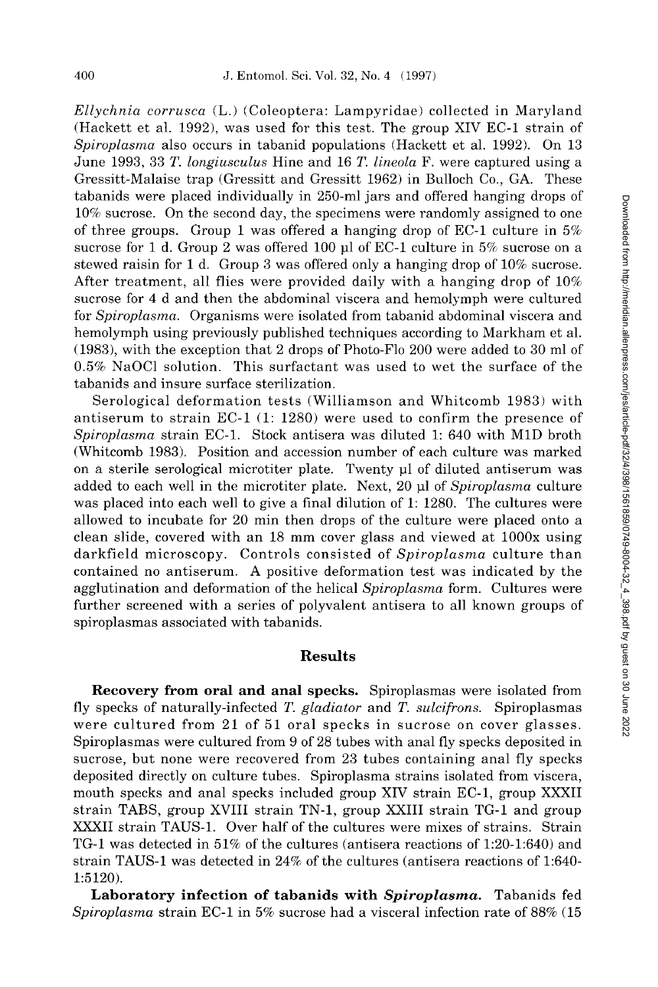*Ellychnia corrusca* (L.) (Coleoptera: Lampyridae) collected in Maryland (Hackett et al. 1992), was used for this test. The group XIV EC-1 strain of *Spiroplasma* also occurs in tabanid populations (Hackett et al. 1992). On 13 June 1993, 33 *T. longiusculus* Hine and 16 *T. lineola* F. were captured using a Gressitt-Malaise trap (Gressitt and Gressitt 1962) in Bulloch Co., GA. These tabanids were placed individually in 250-ml jars and offered hanging drops of 10% sucrose. On the second day, the specimens were randomly assigned to one of three groups. Group 1 was offered a hanging drop of EC-1 culture in  $5\%$ sucrose for 1 d. Group 2 was offered 100  $\mu$ l of EC-1 culture in 5% sucrose on a stewed raisin for 1 d. Group 3 was offered only a hanging drop of 10% sucrose. After treatment, all flies were provided daily with a hanging drop of 10% sucrose for 4 d and then the abdominal viscera and hemolymph were cultured for *Spiroplasma.* Organisms were isolated from tabanid abdominal viscera and hemolymph using previously published techniques according to Markham et al. (1983), with the exception that 2 drops of Photo-Flo 200 were added to 30 ml of 0.5% NaOCl solution. This surfactant was used to wet the surface of the tabanids and insure surface sterilization.

Serological deformation tests (Williamson and Whitcomb 1983) with antiserum to strain EC-1 (1: 1280) were used to confirm the presence of *Spiroplasma* strain EC-1. Stock antisera was diluted 1: 640 with MID broth (Whitcomb 1983). Position and accession number of each culture was marked on a sterile serological microtiter plate. Twenty jul of diluted antiserum was added to each well in the microtiter plate. Next, 20 µl of Spiroplasma culture was placed into each well to give a final dilution of 1: 1280. The cultures were allowed to incubate for 20 min then drops of the culture were placed onto a clean slide, covered with an 18 mm cover glass and viewed at lOOOx using darkfield microscopy. Controls consisted of *Spiroplasma* culture than contained no antiserum. A positive deformation test was indicated by the agglutination and deformation of the helical *Spiroplasma* form. Cultures were further screened with a series of polyvalent antisera to all known groups of spiroplasmas associated with tabanids.

## **Results**

**Recovery from oral and anal specks.** Spiroplasmas were isolated from fly specks of naturally-infected *T. gladiator* and *T. sulcifrons.* Spiroplasmas were cultured from 21 of 51 oral specks in sucrose on cover glasses. Spiroplasmas were cultured from 9 of 28 tubes with anal fly specks deposited in sucrose, but none were recovered from 23 tubes containing anal fly specks deposited directly on culture tubes. Spiroplasma strains isolated from viscera, mouth specks and anal specks included group XIV strain EC-1, group XXXII strain TABS, group XVIII strain TN-1, group XXIII strain TG-1 and group XXXII strain TAUS-1. Over half of the cultures were mixes of strains. Strain TG-1 was detected in 51% of the cultures (antisera reactions of 1:20-1:640) and strain TAUS-1 was detected in 24% of the cultures (antisera reactions of 1:640- 1:5120).

**Laboratory infection of tabanids with** *Spiroplasma*. Tabanids fed *Spiroplasma* strain EC-1 in 5% sucrose had a visceral infection rate of 88% (15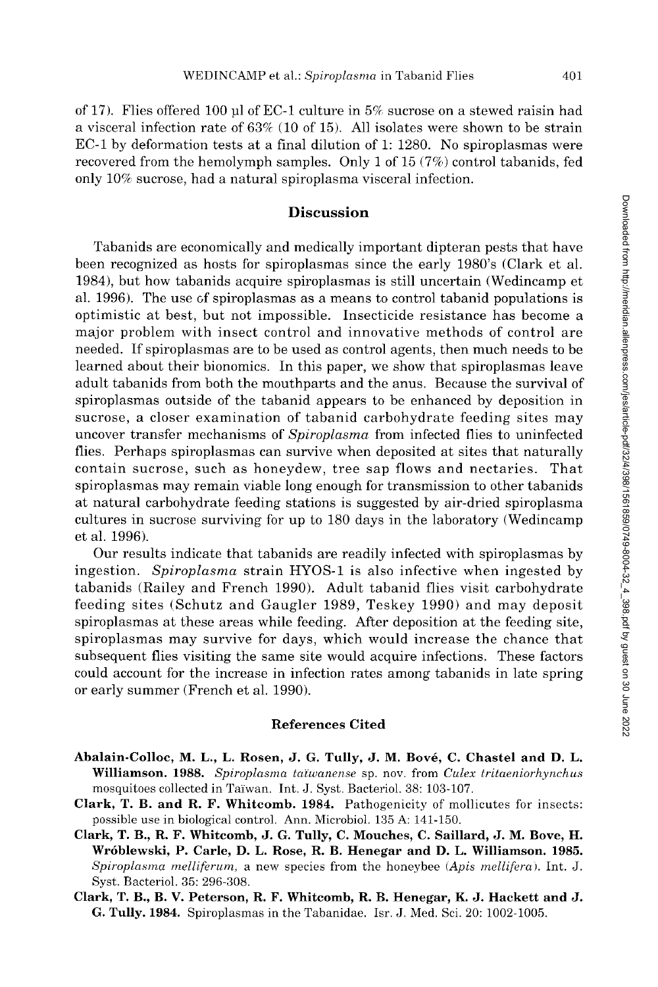of 17). Flies offered 100 µl of EC-1 culture in  $5\%$  sucrose on a stewed raisin had a visceral infection rate of 63% (10 of 15). All isolates were shown to be strain EC-1 by deformation tests at a final dilution of 1: 1280. No spiroplasmas were recovered from the hemolymph samples. Only 1 of 15 (7%) control tabanids, fed only 10% sucrose, had a natural spiroplasma visceral infection.

## **Discussion**

Tabanids are economically and medically important dipteran pests that have been recognized as hosts for spiroplasmas since the early 1980's (Clark et al. 1984), but how tabanids acquire spiroplasmas is still uncertain (Wedincamp et al. 1996). The use of spiroplasmas as a means to control tabanid populations is optimistic at best, but not impossible. Insecticide resistance has become a major problem with insect control and innovative methods of control are needed. If spiroplasmas are to be used as control agents, then much needs to be learned about their bionomics. In this paper, we show that spiroplasmas leave adult tabanids from both the mouthparts and the anus. Because the survival of spiroplasmas outside of the tabanid appears to be enhanced by deposition in sucrose, a closer examination of tabanid carbohydrate feeding sites may uncover transfer mechanisms of *Spiroplasma* from infected flies to uninfected flies. Perhaps spiroplasmas can survive when deposited at sites that naturally contain sucrose, such as honeydew, tree sap flows and nectaries. That spiroplasmas may remain viable long enough for transmission to other tabanids at natural carbohydrate feeding stations is suggested by air-dried spiroplasma cultures in sucrose surviving for up to 180 days in the laboratory (Wedincamp et al. 1996).

Our results indicate that tabanids are readily infected with spiroplasmas by ingestion. *Spiroplasma* strain HYOS-1 is also infective when ingested by tabanids (Railey and French 1990). Adult tabanid flies visit carbohydrate feeding sites (Schutz and Gaugler 1989, Teskey 1990) and may deposit spiroplasmas at these areas while feeding. After deposition at the feeding site, spiroplasmas may survive for days, which would increase the chance that subsequent flies visiting the same site would acquire infections. These factors could account for the increase in infection rates among tabanids in late spring or early summer (French et al. 1990).

#### **References Cited**

- **Abalain-Colloc, M. L., L. Rosen, J. G. Tully, J. M. Bove, C. Chastel and D. L. Williamson. 1988.** *Spiroplasma ta'iwanense* sp. nov. from *Culex tritaeniorhynchus*  mosquitoes collected in Taiwan. Int. J. Syst. Bacteriol. 38: 103-107.
- **Clark, T. B. and R. F. Whitcomb. 1984.** Pathogenicity of mollicutes for insects: possible use in biological control. Ann. Microbiol. 135 A: 141-150.
- **Clark, T. B., R. F. Whitcomb, J. G. Tully, C. Mouches, C. Saillard, J. M. Bove, H. Wroblewski, P. Carle, D. L. Rose, R. B. Henegar and D. L. Williamson. 1985.**  *Spiroplasma melliferum,* a new species from the honeybee (*Apis mellifera).* Int. J. Syst. Bacteriol. 35: 296-308.
- **Clark, T. B., B. V. Peterson, R. F. Whitcomb, R. B. Henegar, K. J. Hackett and J. G. Tully. 1984.** Spiroplasmas in the Tabanidae. Isr. J. Med. Sci. 20: 1002-1005.